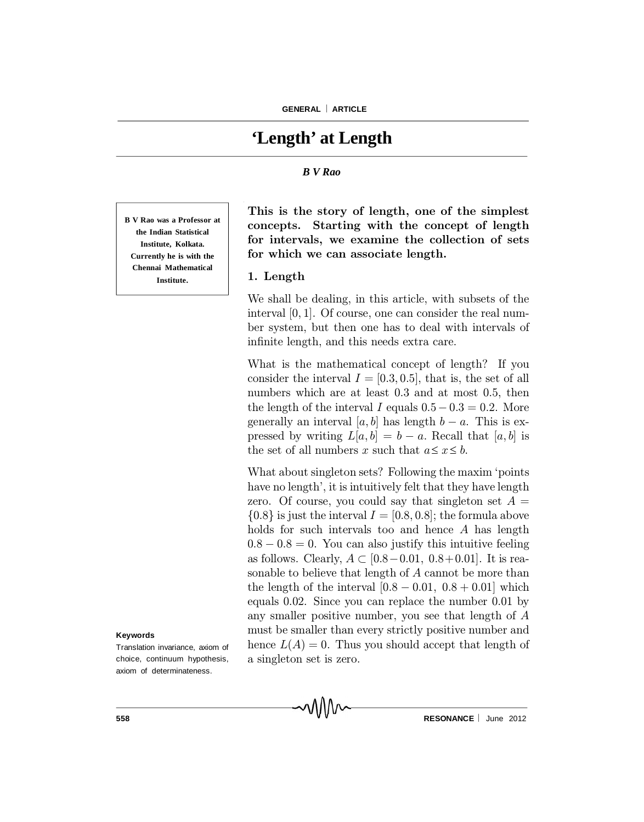# **'Length' at Length**

### *B V Rao*

**B V Rao was a Professor at the Indian Statistical Institute, Kolkata. Currently he is with the Chennai Mathematical Institute.**

#### **Keywords**

Translation invariance, axiom of choice, continuum hypothesis, axiom of determinateness.

This is the story of length, one of the simplest concepts. Starting with the concept of length for intervals, we examine the collection of sets for which we can associate length.

## 1. Length

We shall be dealing, in this article, with subsets of the interval [0; 1]. Of course, one can consider the real number system, but then one has to deal with intervals of infinite length, and this needs extra care.

What is the mathematical concept of length? If you consider the interval  $I = [0.3, 0.5]$ , that is, the set of all numbers which are at least 0.3 and at most 0.5, then the length of the interval I equals  $0.5-0.3=0.2$ . More generally an interval [a, b] has length  $b - a$ . This is expressed by writing  $L[a, b] = b - a$ . Recall that [a, b] is the set of all numbers x such that  $a \leq x \leq b$ .

What about singleton sets? Following the maxim 'points have no length', it is intuitively felt that they have length zero. Of course, you could say that singleton set  $A =$  $\{0.8\}$  is just the interval  $I = [0.8, 0.8]$ ; the formula above holds for such intervals too and hence A has length  $0.8 - 0.8 = 0$ . You can also justify this intuitive feeling as follows. Clearly,  $A \subset [0.8-0.01, 0.8+0.01]$ . It is reasonable to believe that length of A cannot be more than the length of the interval  $[0.8 - 0.01, 0.8 + 0.01]$  which equals 0:02. Since you can replace the number 0:01 by any smaller positive number, you see that length of A must be smaller than every strictly positive number and hence  $L(A) = 0$ . Thus you should accept that length of a singleton set is zero.

MMM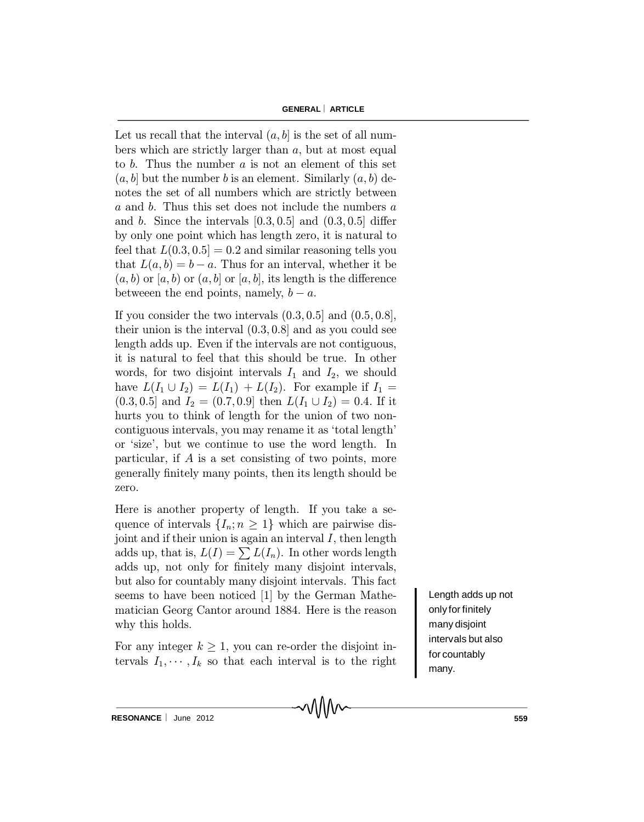Let us recall that the interval  $(a, b]$  is the set of all numbers which are strictly larger than a, but at most equal to  $b$ . Thus the number  $a$  is not an element of this set  $(a, b]$  but the number b is an element. Similarly  $(a, b)$  denotes the set of all numbers which are strictly between a and b. Thus this set does not include the numbers a and b. Since the intervals  $[0.3, 0.5]$  and  $(0.3, 0.5]$  differ by only one point which has length zero, it is natural to feel that  $L(0.3, 0.5] = 0.2$  and similar reasoning tells you that  $L(a, b) = b - a$ . Thus for an interval, whether it be  $(a, b)$  or  $[a, b)$  or  $(a, b]$  or  $[a, b]$ , its length is the difference between the end points, namely,  $b - a$ .

If you consider the two intervals  $(0.3, 0.5]$  and  $(0.5, 0.8]$ , their union is the interval  $(0.3, 0.8]$  and as you could see length adds up. Even if the intervals are not contiguous, it is natural to feel that this should be true. In other words, for two disjoint intervals  $I_1$  and  $I_2$ , we should have  $L(I_1 \cup I_2) = L(I_1) + L(I_2)$ . For example if  $I_1 =$  $(0.3, 0.5]$  and  $I_2 = (0.7, 0.9]$  then  $L(I_1 \cup I_2) = 0.4$ . If it hurts you to think of length for the union of two noncontiguous intervals, you may rename it as `total length' or `size', but we continue to use the word length. In particular, if A is a set consisting of two points, more generally finitely many points, then its length should be zero.

Here is another property of length. If you take a sequence of intervals  $\{I_n; n \geq 1\}$  which are pairwise disjoint and if their union is again an interval  $I$ , then length adds up, that is,  $L(I) = \sum L(I_n)$ . In other words length adds up, not only for finitely many disjoint intervals, but also for countably many disjoint intervals. This fact seems to have been noticed [1] by the German Mathematician Georg Cantor around 1884. Here is the reason why this holds.

For any integer  $k \geq 1$ , you can re-order the disjoint intervals  $I_1, \dots, I_k$  so that each interval is to the right

MWV

Length adds up not only for finitely many disjoint intervals but also for countably many.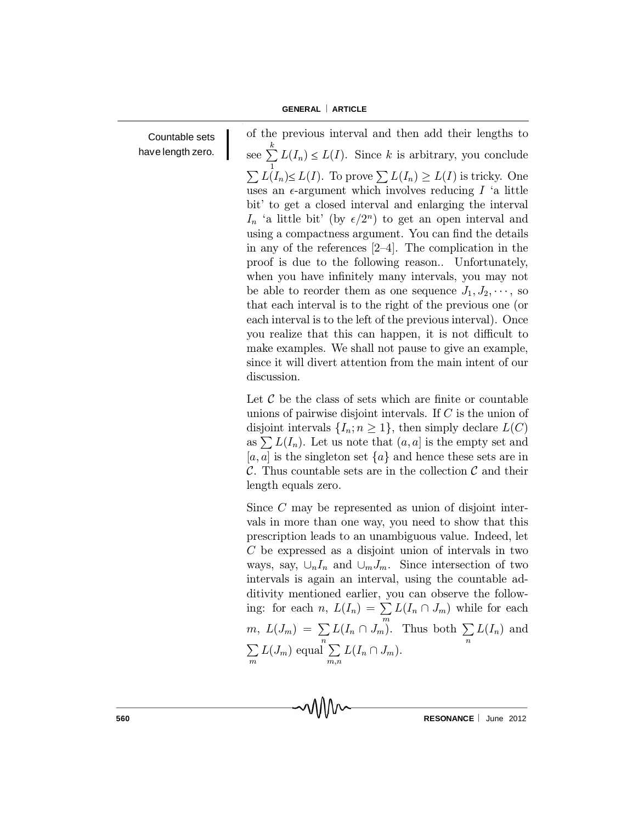Countable sets have length zero. of the previous interval and then add their lengths to see  $\sum^k$ 1  $L(I_n) \leq L(I)$ . Since k is arbitrary, you conclude  $\sum L(I_n) \le L(I)$ . To prove  $\sum L(I_n) \ge L(I)$  is tricky. One uses an  $\epsilon$ -argument which involves reducing I 'a little bit' to get a closed interval and enlarging the interval  $I_n$  'a little bit' (by  $\epsilon/2^n$ ) to get an open interval and using a compactness argument. You can find the details in any of the references  $[2-4]$ . The complication in the proof is due to the following reason.. Unfortunately, when you have infinitely many intervals, you may not be able to reorder them as one sequence  $J_1, J_2, \cdots$ , so that each interval is to the right of the previous one (or each interval is to the left of the previous interval). Once you realize that this can happen, it is not difficult to make examples. We shall not pause to give an example, since it will divert attention from the main intent of our discussion.

Let  $\mathcal C$  be the class of sets which are finite or countable unions of pairwise disjoint intervals. If C is the union of disjoint intervals  $\{I_n; n \geq 1\}$ , then simply declare  $L(C)$ as  $\sum L(I_n)$ . Let us note that  $(a, a]$  is the empty set and [a, a] is the singleton set  $\{a\}$  and hence these sets are in C. Thus countable sets are in the collection  $\mathcal C$  and their length equals zero.

Since C may be represented as union of disjoint intervals in more than one way, you need to show that this prescription leads to an unambiguous value. Indeed, let C be expressed as a disjoint union of intervals in two ways, say,  $\bigcup_{n}I_{n}$  and  $\bigcup_{m}J_{m}$ . Since intersection of two intervals is again an interval, using the countable additivity mentioned earlier, you can observe the following: for each  $n, L(I_n) = \sum L(I_n \cap J_m)$  while for each m  $m, L(J_m) = \sum$  $\sum_{n} L(I_n \cap J_m)$ . Thus both  $\sum_{n}$ n  $L(I_n)$  and  $\sum$ m  $L(J_m)$  equal  $\sum$  $\sum_{m,n} L(I_n \cap J_m).$ 

MMM

**560 RESONANCE** June 2012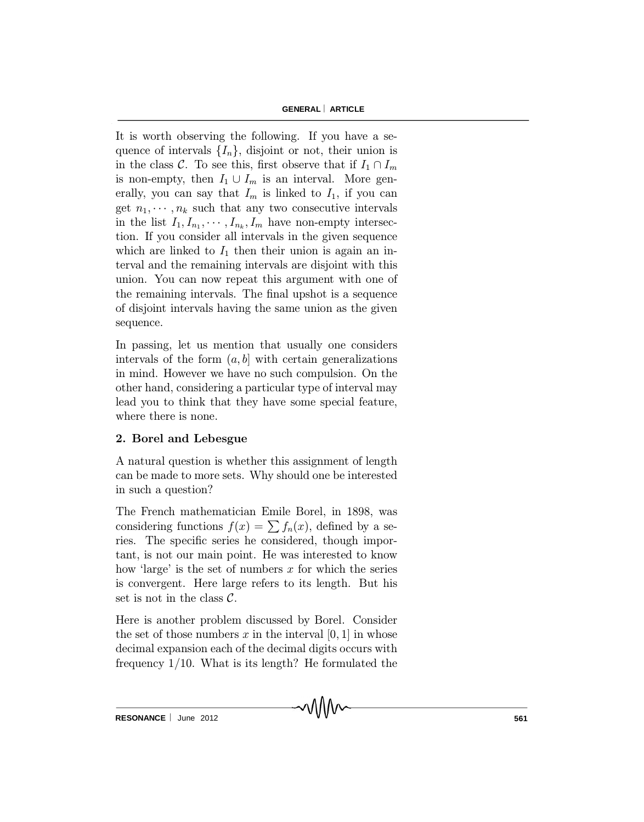It is worth observing the following. If you have a sequence of intervals  $\{I_n\}$ , disjoint or not, their union is in the class C. To see this, first observe that if  $I_1 \cap I_m$ is non-empty, then  $I_1 \cup I_m$  is an interval. More generally, you can say that  $I_m$  is linked to  $I_1$ , if you can get  $n_1, \dots, n_k$  such that any two consecutive intervals in the list  $I_1, I_{n_1}, \cdots, I_{n_k}, I_m$  have non-empty intersection. If you consider all intervals in the given sequence which are linked to  $I_1$  then their union is again an interval and the remaining intervals are disjoint with this union. You can now repeat this argument with one of the remaining intervals. The final upshot is a sequence of disjoint intervals having the same union as the given sequence.

In passing, let us mention that usually one considers intervals of the form  $(a, b]$  with certain generalizations in mind. However we have no such compulsion. On the other hand, considering a particular type of interval may lead you to think that they have some special feature, where there is none.

## 2. Borel and Lebesgue

A natural question is whether this assignment of length can be made to more sets. Why should one be interested in such a question?

The French mathematician Emile Borel, in 1898, was considering functions  $f(x) = \sum f_n(x)$ , defined by a series. The specific series he considered, though important, is not our main point. He was interested to know how 'large' is the set of numbers x for which the series is convergent. Here large refers to its length. But his set is not in the class  $\mathcal{C}$ .

Here is another problem discussed by Borel. Consider the set of those numbers x in the interval  $[0, 1]$  in whose decimal expansion each of the decimal digits occurs with frequency  $1/10$ . What is its length? He formulated the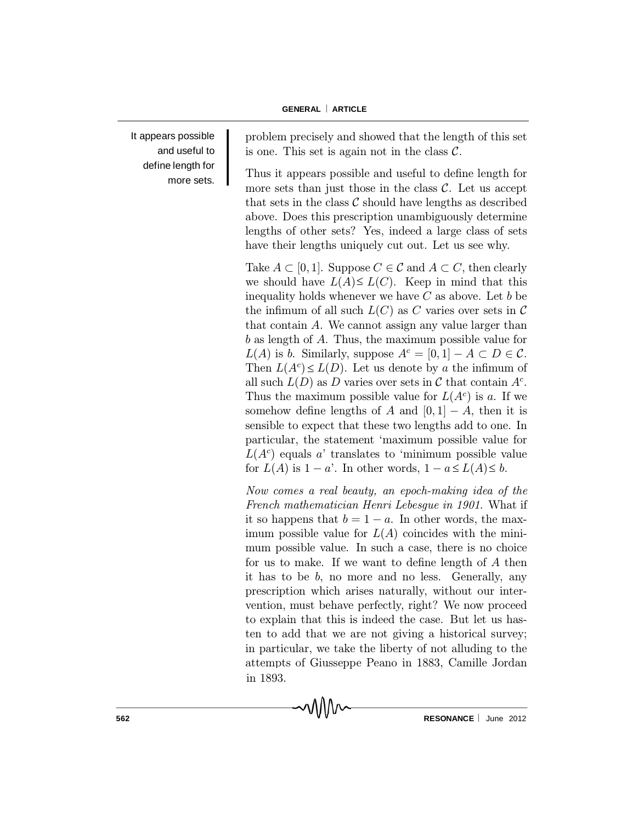It appears possible and useful to define length for more sets. problem precisely and showed that the length of this set is one. This set is again not in the class  $\mathcal{C}$ .

Thus it appears possible and useful to define length for more sets than just those in the class  $\mathcal{C}$ . Let us accept that sets in the class  $\mathcal C$  should have lengths as described above. Does this prescription unambiguously determine lengths of other sets? Yes, indeed a large class of sets have their lengths uniquely cut out. Let us see why.

Take  $A \subset [0, 1]$ . Suppose  $C \in \mathcal{C}$  and  $A \subset C$ , then clearly we should have  $L(A) \leq L(C)$ . Keep in mind that this inequality holds whenever we have  $C$  as above. Let  $b$  be the infimum of all such  $L(C)$  as C varies over sets in C that contain A. We cannot assign any value larger than b as length of A. Thus, the maximum possible value for  $L(A)$  is b. Similarly, suppose  $A^c = [0, 1] - A \subset D \in \mathcal{C}$ . Then  $L(A<sup>c</sup>) \leq L(D)$ . Let us denote by a the infimum of all such  $L(D)$  as D varies over sets in C that contain  $A<sup>c</sup>$ . Thus the maximum possible value for  $L(A<sup>c</sup>)$  is a. If we somehow define lengths of A and  $[0, 1] - A$ , then it is sensible to expect that these two lengths add to one. In particular, the statement `maximum possible value for  $L(A<sup>c</sup>)$  equals a' translates to 'minimum possible value for  $L(A)$  is  $1 - a'$ . In other words,  $1 - a \le L(A) \le b$ .

Now comes a real beauty, an epoch-making idea of the French mathematician Henri Lebesgue in 1901. What if it so happens that  $b = 1 - a$ . In other words, the maximum possible value for  $L(A)$  coincides with the minimum possible value. In such a case, there is no choice for us to make. If we want to define length of  $A$  then it has to be  $b$ , no more and no less. Generally, any prescription which arises naturally, without our intervention, must behave perfectly, right? We now proceed to explain that this is indeed the case. But let us hasten to add that we are not giving a historical survey; in particular, we take the liberty of not alluding to the attempts of Giusseppe Peano in 1883, Camille Jordan in 1893.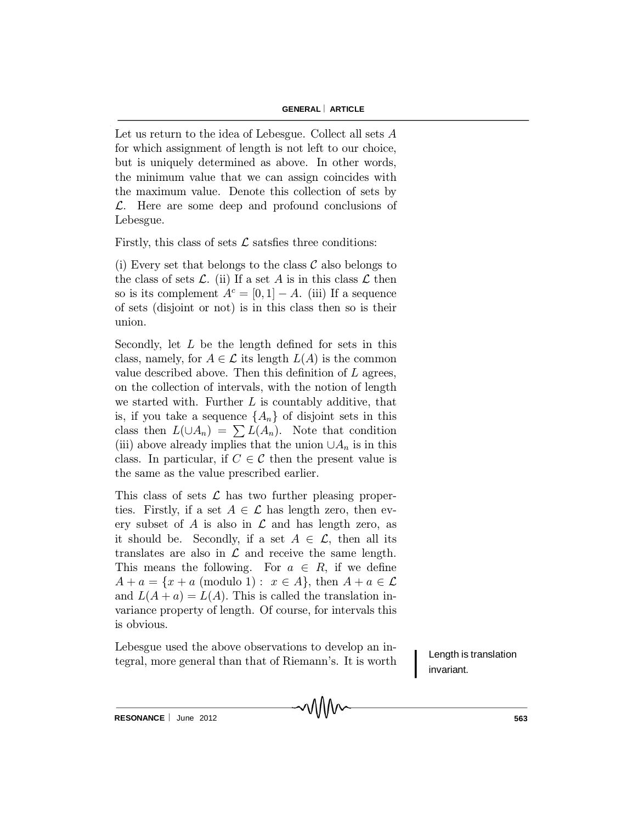Let us return to the idea of Lebesgue. Collect all sets A for which assignment of length is not left to our choice, but is uniquely determined as above. In other words, the minimum value that we can assign coincides with the maximum value. Denote this collection of sets by  $\mathcal{L}$ . Here are some deep and profound conclusions of Lebesgue.

Firstly, this class of sets  $\mathcal L$  satsfies three conditions:

(i) Every set that belongs to the class  $\mathcal C$  also belongs to the class of sets  $\mathcal{L}$ . (ii) If a set A is in this class  $\mathcal{L}$  then so is its complement  $A^c = [0, 1] - A$ . (iii) If a sequence of sets (disjoint or not) is in this class then so is their union.

Secondly, let  $L$  be the length defined for sets in this class, namely, for  $A \in \mathcal{L}$  its length  $L(A)$  is the common value described above. Then this definition of  $L$  agrees, on the collection of intervals, with the notion of length we started with. Further  $L$  is countably additive, that is, if you take a sequence  ${A_n}$  of disjoint sets in this class then  $L(\cup A_n) = \sum L(A_n)$ . Note that condition (iii) above already implies that the union  $\cup A_n$  is in this class. In particular, if  $C \in \mathcal{C}$  then the present value is the same as the value prescribed earlier.

This class of sets  $\mathcal L$  has two further pleasing properties. Firstly, if a set  $A \in \mathcal{L}$  has length zero, then every subset of A is also in  $\mathcal L$  and has length zero, as it should be. Secondly, if a set  $A \in \mathcal{L}$ , then all its translates are also in  $\mathcal L$  and receive the same length. This means the following. For  $a \in R$ , if we define  $A + a = \{x + a \pmod{1} : x \in A\}$ , then  $A + a \in \mathcal{L}$ and  $L(A + a) = L(A)$ . This is called the translation invariance property of length. Of course, for intervals this is obvious.

Lebesgue used the above observations to develop an integral, more general than that of Riemann's. It is worth

Length is translation invariant.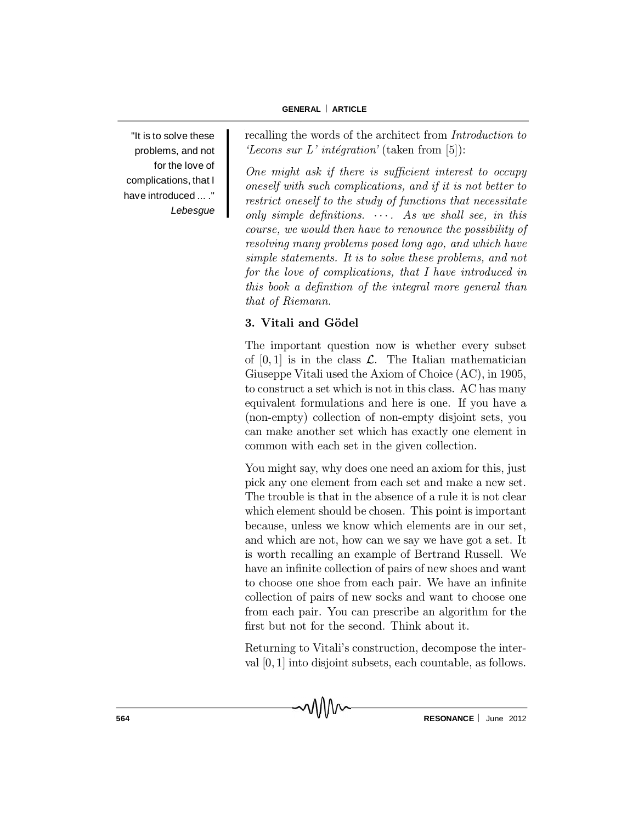"It is to solve these problems, and not for the love of complications, that I have introduced ... ." *Lebesgue* recalling the words of the architect from Introduction to 'Lecons sur L' intégration' (taken from [5]):

One might ask if there is sufficient interest to occupy oneself with such complications, and if it is not better to restrict oneself to the study of functions that necessitate only simple definitions.  $\cdots$ . As we shall see, in this course, we would then have to renounce the possibility of resolving many problems posed long ago, and which have simple statements. It is to solve these problems, and not for the love of complications, that I have introduced in this book a definition of the integral more general than that of Riemann.

## 3. Vitali and Gödel

The important question now is whether every subset of  $[0, 1]$  is in the class  $\mathcal{L}$ . The Italian mathematician Giuseppe Vitali used the Axiom of Choice (AC), in 1905, to construct a set which is not in this class. AC has many equivalent formulations and here is one. If you have a (non-empty) collection of non-empty disjoint sets, you can make another set which has exactly one element in common with each set in the given collection.

You might say, why does one need an axiom for this, just pick any one element from each set and make a new set. The trouble is that in the absence of a rule it is not clear which element should be chosen. This point is important because, unless we know which elements are in our set, and which are not, how can we say we have got a set. It is worth recalling an example of Bertrand Russell. We have an infinite collection of pairs of new shoes and want to choose one shoe from each pair. We have an infinite collection of pairs of new socks and want to choose one from each pair. You can prescribe an algorithm for the first but not for the second. Think about it.

Returning to Vitali's construction, decompose the interval [0; 1] into disjoint subsets, each countable, as follows.

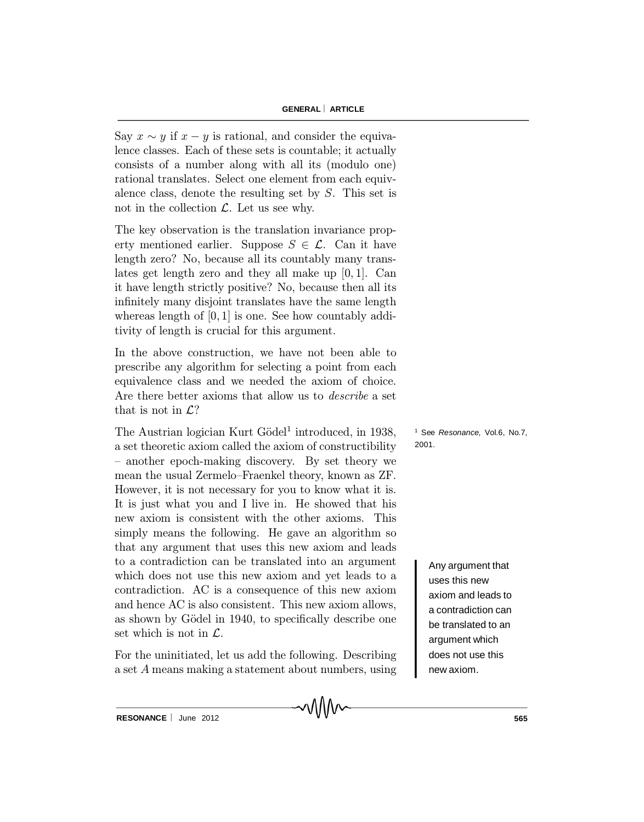Say  $x \sim y$  if  $x - y$  is rational, and consider the equivalence classes. Each of these sets is countable; it actually consists of a number along with all its (modulo one) rational translates. Select one element from each equivalence class, denote the resulting set by S. This set is not in the collection  $\mathcal{L}$ . Let us see why.

The key observation is the translation invariance property mentioned earlier. Suppose  $S \in \mathcal{L}$ . Can it have length zero? No, because all its countably many translates get length zero and they all make up  $[0, 1]$ . Can it have length strictly positive? No, because then all its infinitely many disjoint translates have the same length whereas length of  $[0, 1]$  is one. See how countably additivity of length is crucial for this argument.

In the above construction, we have not been able to prescribe any algorithm for selecting a point from each equivalence class and we needed the axiom of choice. Are there better axioms that allow us to describe a set that is not in  $\mathcal{L}$ ?

The Austrian logician Kurt Gödel<sup>1</sup> introduced, in 1938, a set theoretic axiom called the axiom of constructibility - another epoch-making discovery. By set theory we mean the usual Zermelo-Fraenkel theory, known as ZF. However, it is not necessary for you to know what it is. It is just what you and I live in. He showed that his new axiom is consistent with the other axioms. This simply means the following. He gave an algorithm so that any argument that uses this new axiom and leads to a contradiction can be translated into an argument which does not use this new axiom and yet leads to a contradiction. AC is a consequence of this new axiom and hence AC is also consistent. This new axiom allows, as shown by Gödel in 1940, to specifically describe one set which is not in  $\mathcal{L}$ .

For the uninitiated, let us add the following. Describing a set A means making a statement about numbers, using <sup>1</sup> See *Resonance,* Vol.6, No.7, 2001.

> Any argument that uses this new axiom and leads to a contradiction can be translated to an argument which does not use this new axiom.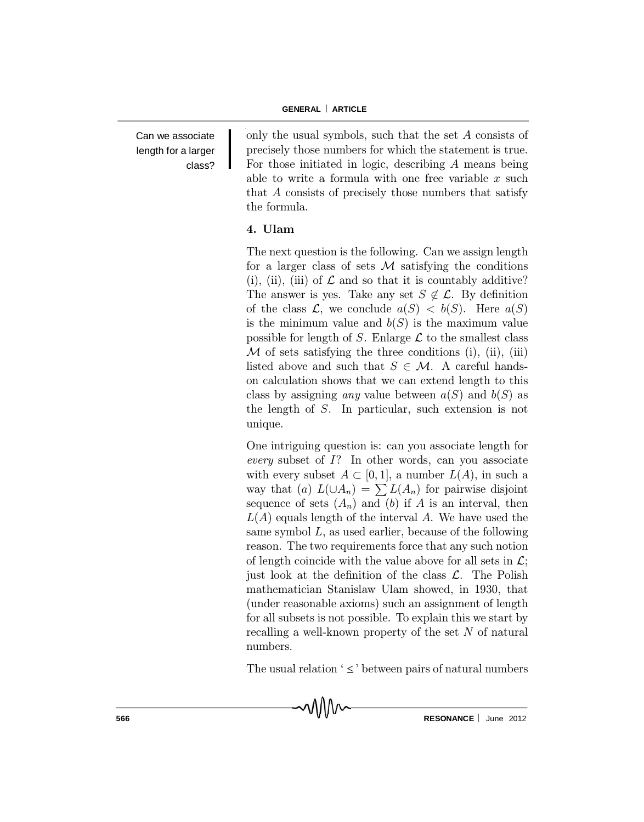Can we associate length for a larger class? only the usual symbols, such that the set A consists of precisely those numbers for which the statement is true. For those initiated in logic, describing A means being able to write a formula with one free variable  $x$  such that A consists of precisely those numbers that satisfy the formula.

## 4. Ulam

The next question is the following. Can we assign length for a larger class of sets  $M$  satisfying the conditions (i), (ii), (iii) of  $\mathcal L$  and so that it is countably additive? The answer is yes. Take any set  $S \notin \mathcal{L}$ . By definition of the class  $\mathcal{L}$ , we conclude  $a(S) < b(S)$ . Here  $a(S)$ is the minimum value and  $b(S)$  is the maximum value possible for length of S. Enlarge  $\mathcal L$  to the smallest class  $M$  of sets satisfying the three conditions (i), (ii), (iii) listed above and such that  $S \in \mathcal{M}$ . A careful handson calculation shows that we can extend length to this class by assigning *any* value between  $a(S)$  and  $b(S)$  as the length of S. In particular, such extension is not unique.

One intriguing question is: can you associate length for every subset of  $I$ ? In other words, can you associate with every subset  $A \subset [0, 1]$ , a number  $L(A)$ , in such a way that (a)  $L(\bigcup A_n) = \sum L(A_n)$  for pairwise disjoint sequence of sets  $(A_n)$  and  $(b)$  if A is an interval, then  $L(A)$  equals length of the interval A. We have used the same symbol  $L$ , as used earlier, because of the following reason. The two requirements force that any such notion of length coincide with the value above for all sets in  $\mathcal{L}$ ; just look at the definition of the class  $\mathcal{L}$ . The Polish mathematician Stanislaw Ulam showed, in 1930, that (under reasonable axioms) such an assignment of length for all subsets is not possible. To explain this we start by recalling a well-known property of the set  $N$  of natural numbers.

The usual relation  $\leq$  between pairs of natural numbers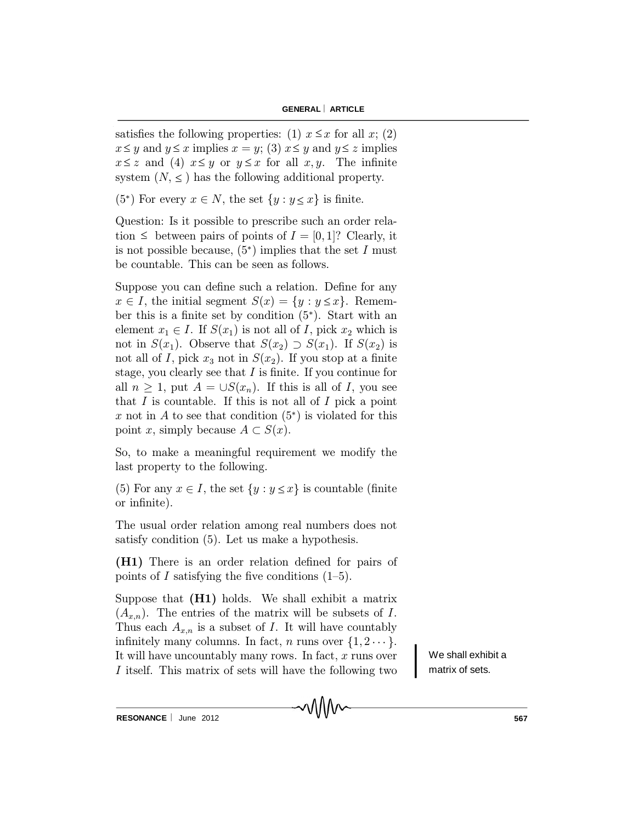satisfies the following properties: (1)  $x \leq x$  for all  $x$ ; (2)  $x \leq y$  and  $y \leq x$  implies  $x = y$ ; (3)  $x \leq y$  and  $y \leq z$  implies  $x \leq z$  and (4)  $x \leq y$  or  $y \leq x$  for all  $x, y$ . The infinite system  $(N, \leq)$  has the following additional property.

(5<sup>\*</sup>) For every  $x \in N$ , the set  $\{y : y \leq x\}$  is finite.

Question: Is it possible to prescribe such an order relation  $\leq$  between pairs of points of  $I = [0, 1]$ ? Clearly, it is not possible because,  $(5^*)$  implies that the set I must be countable. This can be seen as follows.

Suppose you can define such a relation. Define for any  $x \in I$ , the initial segment  $S(x) = \{y : y \leq x\}$ . Remember this is a finite set by condition  $(5^*)$ . Start with an element  $x_1 \in I$ . If  $S(x_1)$  is not all of I, pick  $x_2$  which is not in  $S(x_1)$ . Observe that  $S(x_2) \supset S(x_1)$ . If  $S(x_2)$  is not all of I, pick  $x_3$  not in  $S(x_2)$ . If you stop at a finite stage, you clearly see that  $I$  is finite. If you continue for all  $n \geq 1$ , put  $A = \bigcup S(x_n)$ . If this is all of I, you see that  $I$  is countable. If this is not all of  $I$  pick a point x not in A to see that condition  $(5^*)$  is violated for this point x, simply because  $A \subset S(x)$ .

So, to make a meaningful requirement we modify the last property to the following.

(5) For any  $x \in I$ , the set  $\{y : y \leq x\}$  is countable (finite or infinite).

The usual order relation among real numbers does not satisfy condition (5). Let us make a hypothesis.

(H1) There is an order relation defined for pairs of points of I satisfying the five conditions  $(1–5)$ .

Suppose that (H1) holds. We shall exhibit a matrix  $(A_{x,n})$ . The entries of the matrix will be subsets of I. Thus each  $A_{x,n}$  is a subset of I. It will have countably infinitely many columns. In fact, n runs over  $\{1, 2 \cdots\}$ . It will have uncountably many rows. In fact,  $x$  runs over I itself. This matrix of sets will have the following two

MMM

We shall exhibit a matrix of sets.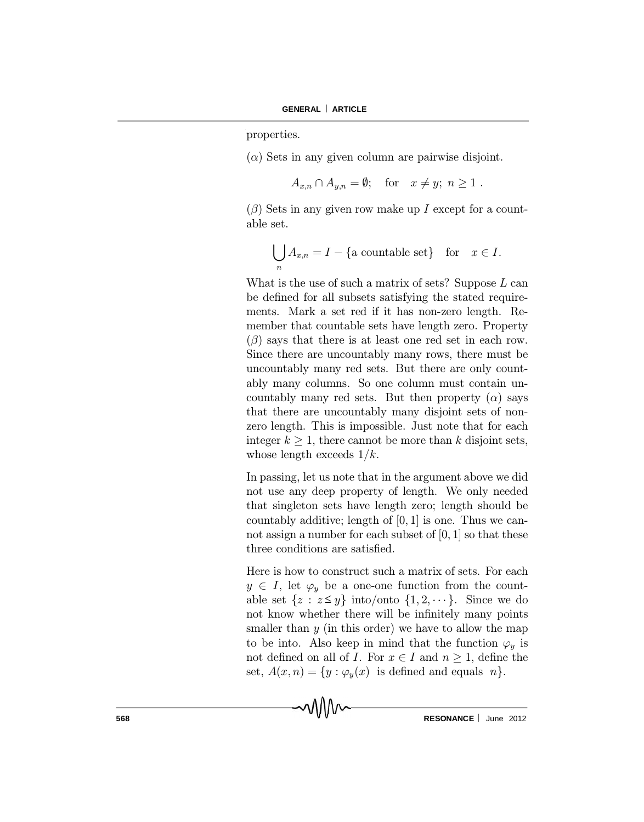properties.

 $(\alpha)$  Sets in any given column are pairwise disjoint.

 $A_{x,n} \cap A_{y,n} = \emptyset;$  for  $x \neq y; n \geq 1$ .

 $(\beta)$  Sets in any given row make up I except for a countable set.

$$
\bigcup_{n} A_{x,n} = I - \{ \text{a countable set} \} \quad \text{for} \quad x \in I.
$$

What is the use of such a matrix of sets? Suppose  $L$  can be defined for all subsets satisfying the stated requirements. Mark a set red if it has non-zero length. Remember that countable sets have length zero. Property  $(\beta)$  says that there is at least one red set in each row. Since there are uncountably many rows, there must be uncountably many red sets. But there are only countably many columns. So one column must contain uncountably many red sets. But then property  $(\alpha)$  says that there are uncountably many disjoint sets of nonzero length. This is impossible. Just note that for each integer  $k \geq 1$ , there cannot be more than k disjoint sets, whose length exceeds  $1/k$ .

In passing, let us note that in the argument above we did not use any deep property of length. We only needed that singleton sets have length zero; length should be countably additive; length of  $[0, 1]$  is one. Thus we cannot assign a number for each subset of  $[0, 1]$  so that these three conditions are satisfied.

Here is how to construct such a matrix of sets. For each  $y \in I$ , let  $\varphi_y$  be a one-one function from the countable set  $\{z : z \le y\}$  into/onto  $\{1, 2, \dots\}$ . Since we do not know whether there will be infinitely many points smaller than  $y$  (in this order) we have to allow the map to be into. Also keep in mind that the function  $\varphi_y$  is not defined on all of *I*. For  $x \in I$  and  $n \geq 1$ , define the set,  $A(x, n) = \{y : \varphi_y(x)$  is defined and equals  $n\}.$ 

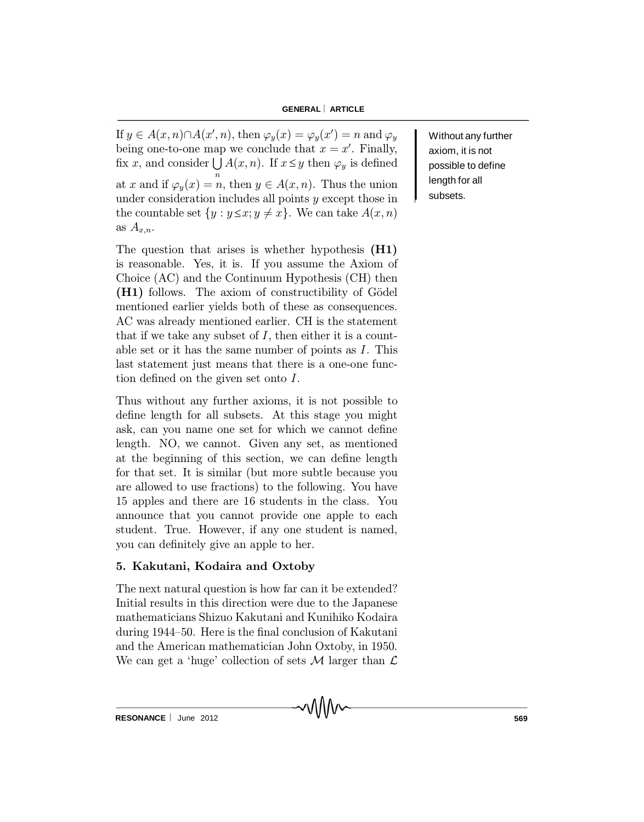If  $y \in A(x, n) \cap A(x', n)$ , then  $\varphi_y(x) = \varphi_y(x') = n$  and  $\varphi_y$ being one-to-one map we conclude that  $x = x'$ . Finally, fix x, and consider  $\bigcup A(x, n)$ . If  $x \leq y$  then  $\varphi_y$  is defined at x and if  $\varphi_y(x) = n$ , then  $y \in A(x, n)$ . Thus the union under consideration includes all points  $y$  except those in the countable set  $\{y : y \leq x; y \neq x\}$ . We can take  $A(x, n)$ as  $A_{x,n}$ .

The question that arises is whether hypothesis (H1) is reasonable. Yes, it is. If you assume the Axiom of Choice (AC) and the Continuum Hypothesis (CH) then  $(H1)$  follows. The axiom of constructibility of Gödel mentioned earlier yields both of these as consequences. AC was already mentioned earlier. CH is the statement that if we take any subset of  $I$ , then either it is a countable set or it has the same number of points as I. This last statement just means that there is a one-one function defined on the given set onto  $I$ .

Thus without any further axioms, it is not possible to define length for all subsets. At this stage you might ask, can you name one set for which we cannot define length. NO, we cannot. Given any set, as mentioned at the beginning of this section, we can define length for that set. It is similar (but more subtle because you are allowed to use fractions) to the following. You have 15 apples and there are 16 students in the class. You announce that you cannot provide one apple to each student. True. However, if any one student is named, you can definitely give an apple to her.

#### 5. Kakutani, Kodaira and Oxtoby

The next natural question is how far can it be extended? Initial results in this direction were due to the Japanese mathematicians Shizuo Kakutani and Kunihiko Kodaira during 1944-50. Here is the final conclusion of Kakutani and the American mathematician John Oxtoby, in 1950. We can get a 'huge' collection of sets M larger than  $\mathcal L$  Without any further axiom, it is not possible to define length for all subsets.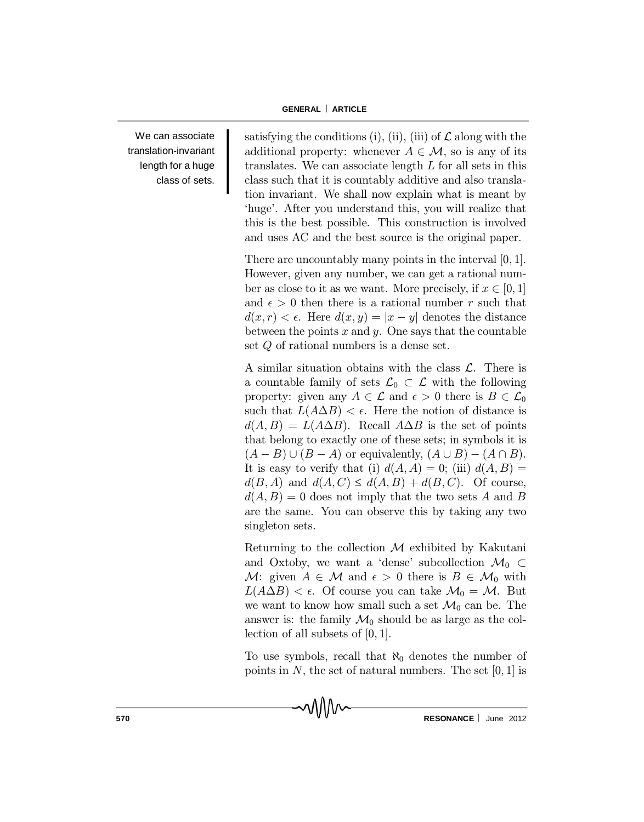We can associate translation-invariant length for a huge class of sets. satisfying the conditions (i), (ii), (iii) of  $\mathcal L$  along with the additional property: whenever  $A \in \mathcal{M}$ , so is any of its translates. We can associate length  $L$  for all sets in this class such that it is countably additive and also translation invariant. We shall now explain what is meant by `huge'. After you understand this, you will realize that this is the best possible. This construction is involved and uses AC and the best source is the original paper.

There are uncountably many points in the interval  $[0, 1]$ . However, given any number, we can get a rational number as close to it as we want. More precisely, if  $x \in [0, 1]$ and  $\epsilon > 0$  then there is a rational number r such that  $d(x, r) < \epsilon$ . Here  $d(x, y) = |x - y|$  denotes the distance between the points  $x$  and  $y$ . One says that the countable set Q of rational numbers is a dense set.

A similar situation obtains with the class  $\mathcal{L}$ . There is a countable family of sets  $\mathcal{L}_0 \subset \mathcal{L}$  with the following property: given any  $A \in \mathcal{L}$  and  $\epsilon > 0$  there is  $B \in \mathcal{L}_0$ such that  $L(A \Delta B) < \epsilon$ . Here the notion of distance is  $d(A, B) = L(A \Delta B)$ . Recall  $A \Delta B$  is the set of points that belong to exactly one of these sets; in symbols it is  $(A - B) \cup (B - A)$  or equivalently,  $(A \cup B) - (A \cap B)$ . It is easy to verify that (i)  $d(A, A) = 0$ ; (iii)  $d(A, B) =$  $d(B, A)$  and  $d(A, C) \leq d(A, B) + d(B, C)$ . Of course,  $d(A, B) = 0$  does not imply that the two sets A and B are the same. You can observe this by taking any two singleton sets.

Returning to the collection  $M$  exhibited by Kakutani and Oxtoby, we want a 'dense' subcollection  $\mathcal{M}_0 \subset$ M: given  $A \in \mathcal{M}$  and  $\epsilon > 0$  there is  $B \in \mathcal{M}_0$  with  $L(A \Delta B) < \epsilon$ . Of course you can take  $\mathcal{M}_0 = \mathcal{M}$ . But we want to know how small such a set  $\mathcal{M}_0$  can be. The answer is: the family  $\mathcal{M}_0$  should be as large as the collection of all subsets of  $[0, 1]$ .

To use symbols, recall that  $\aleph_0$  denotes the number of points in  $N$ , the set of natural numbers. The set  $[0, 1]$  is

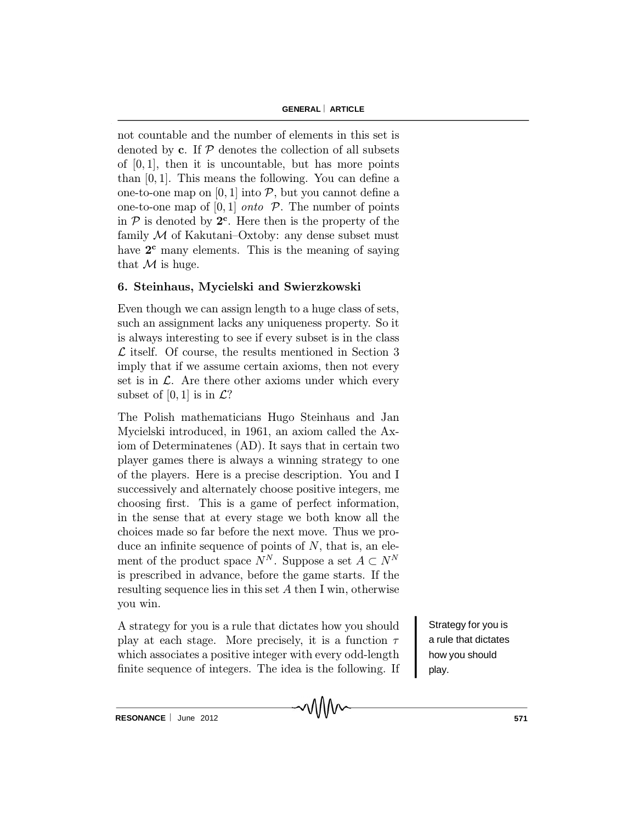not countable and the number of elements in this set is denoted by c. If  $\mathcal P$  denotes the collection of all subsets of  $[0, 1]$ , then it is uncountable, but has more points than  $[0, 1]$ . This means the following. You can define a one-to-one map on [0, 1] into  $P$ , but you cannot define a one-to-one map of  $[0, 1]$  *onto*  $\mathcal{P}$ . The number of points in  $P$  is denoted by  $2^c$ . Here then is the property of the family  $M$  of Kakutani–Oxtoby: any dense subset must have  $2^c$  many elements. This is the meaning of saying that  $M$  is huge.

## 6. Steinhaus, Mycielski and Swierzkowski

Even though we can assign length to a huge class of sets, such an assignment lacks any uniqueness property. So it is always interesting to see if every subset is in the class  $\mathcal L$  itself. Of course, the results mentioned in Section 3 imply that if we assume certain axioms, then not every set is in  $\mathcal{L}$ . Are there other axioms under which every subset of [0, 1] is in  $\mathcal{L}$ ?

The Polish mathematicians Hugo Steinhaus and Jan Mycielski introduced, in 1961, an axiom called the Axiom of Determinatenes (AD). It says that in certain two player games there is always a winning strategy to one of the players. Here is a precise description. You and I successively and alternately choose positive integers, me choosing first. This is a game of perfect information, in the sense that at every stage we both know all the choices made so far before the next move. Thus we produce an infinite sequence of points of  $N$ , that is, an element of the product space  $N^N$ . Suppose a set  $A \subset N^N$ is prescribed in advance, before the game starts. If the resulting sequence lies in this set  $A$  then I win, otherwise you win.

A strategy for you is a rule that dictates how you should play at each stage. More precisely, it is a function  $\tau$ which associates a positive integer with every odd-length finite sequence of integers. The idea is the following. If Strategy for you is a rule that dictates how you should play.